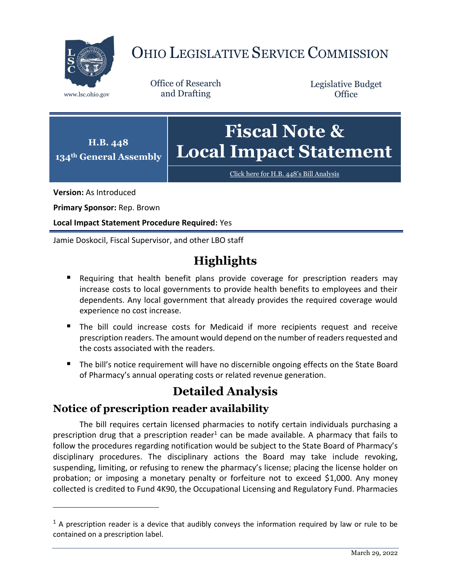

# OHIO LEGISLATIVE SERVICE COMMISSION

Office of Research www.lsc.ohio.gov and Drafting

Legislative Budget **Office** 



[Click here for H.B. 448](https://www.legislature.ohio.gov/legislation/legislation-documents?id=GA134-HB-448)'s Bill Analysis

**Version:** As Introduced

 $\overline{a}$ 

**Primary Sponsor:** Rep. Brown

**Local Impact Statement Procedure Required:** Yes

Jamie Doskocil, Fiscal Supervisor, and other LBO staff

## **Highlights**

- Requiring that health benefit plans provide coverage for prescription readers may increase costs to local governments to provide health benefits to employees and their dependents. Any local government that already provides the required coverage would experience no cost increase.
- The bill could increase costs for Medicaid if more recipients request and receive prescription readers. The amount would depend on the number of readers requested and the costs associated with the readers.
- **The bill's notice requirement will have no discernible ongoing effects on the State Board** of Pharmacy's annual operating costs or related revenue generation.

### **Detailed Analysis**

#### **Notice of prescription reader availability**

The bill requires certain licensed pharmacies to notify certain individuals purchasing a prescription drug that a prescription reader<sup>1</sup> can be made available. A pharmacy that fails to follow the procedures regarding notification would be subject to the State Board of Pharmacy's disciplinary procedures. The disciplinary actions the Board may take include revoking, suspending, limiting, or refusing to renew the pharmacy's license; placing the license holder on probation; or imposing a monetary penalty or forfeiture not to exceed \$1,000. Any money collected is credited to Fund 4K90, the Occupational Licensing and Regulatory Fund. Pharmacies

 $<sup>1</sup>$  A prescription reader is a device that audibly conveys the information required by law or rule to be</sup> contained on a prescription label.